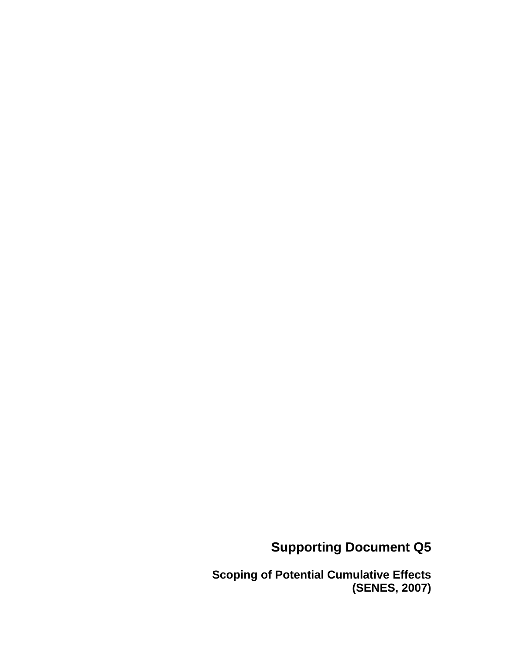# **Supporting Document Q5**

**Scoping of Potential Cumulative Effects (SENES, 2007)**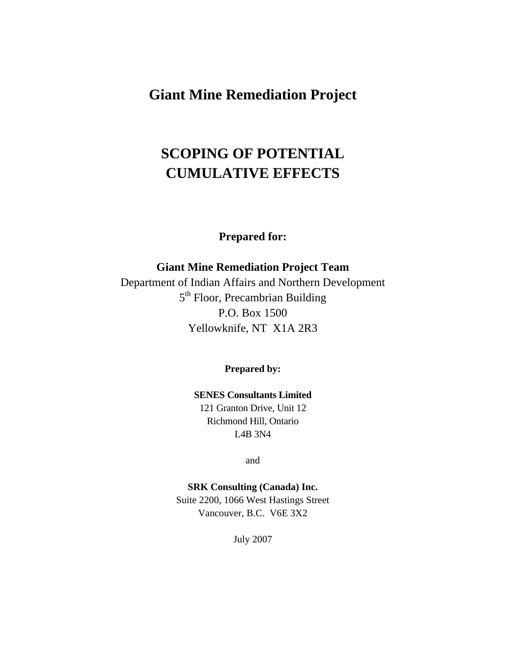# **Giant Mine Remediation Project**

# **SCOPING OF POTENTIAL CUMULATIVE EFFECTS**

**Prepared for:** 

**Giant Mine Remediation Project Team**  Department of Indian Affairs and Northern Development 5<sup>th</sup> Floor, Precambrian Building P.O. Box 1500 Yellowknife, NT X1A 2R3

**Prepared by:** 

**SENES Consultants Limited**  121 Granton Drive, Unit 12 Richmond Hill, Ontario L4B 3N4

and

**SRK Consulting (Canada) Inc.**  Suite 2200, 1066 West Hastings Street Vancouver, B.C. V6E 3X2

July 2007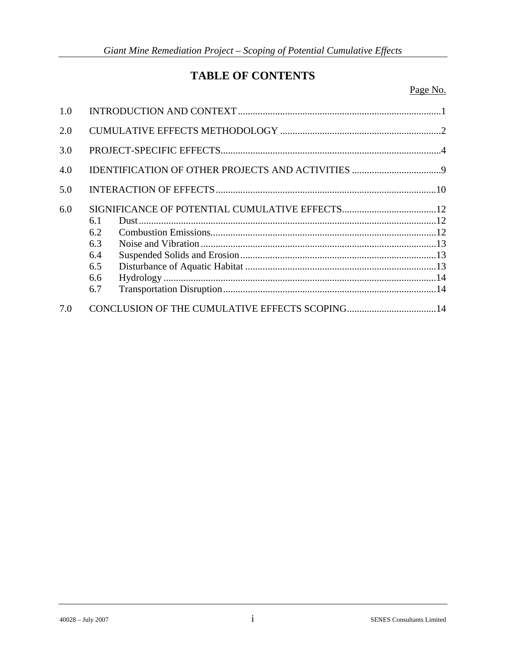# **TABLE OF CONTENTS**

Page No.

| 1.0 |     |                                                                                                                                                                                                                                                                                                                                                                                                                                           |  |  |  |  |  |  |  |
|-----|-----|-------------------------------------------------------------------------------------------------------------------------------------------------------------------------------------------------------------------------------------------------------------------------------------------------------------------------------------------------------------------------------------------------------------------------------------------|--|--|--|--|--|--|--|
| 2.0 |     |                                                                                                                                                                                                                                                                                                                                                                                                                                           |  |  |  |  |  |  |  |
| 3.0 |     |                                                                                                                                                                                                                                                                                                                                                                                                                                           |  |  |  |  |  |  |  |
| 4.0 |     |                                                                                                                                                                                                                                                                                                                                                                                                                                           |  |  |  |  |  |  |  |
| 5.0 |     |                                                                                                                                                                                                                                                                                                                                                                                                                                           |  |  |  |  |  |  |  |
| 6.0 |     |                                                                                                                                                                                                                                                                                                                                                                                                                                           |  |  |  |  |  |  |  |
|     | 6.1 |                                                                                                                                                                                                                                                                                                                                                                                                                                           |  |  |  |  |  |  |  |
|     | 6.2 | $\begin{minipage}{0.9\linewidth} \textbf{Dust} \textbf{.} & \textbf{12} \\ \textbf{Combustion Emissions} & \textbf{.} & \textbf{12} \\ \textbf{.} & \textbf{12} & \textbf{13} \\ \textbf{.} & \textbf{14} & \textbf{15} \\ \textbf{.} & \textbf{15} & \textbf{16} \\ \textbf{.} & \textbf{16} & \textbf{17} \\ \textbf{.} & \textbf{17} & \textbf{18} \\ \textbf{.} & \textbf{18} & \textbf{19} \\ \textbf{.} & \textbf{19} & \textbf{19$ |  |  |  |  |  |  |  |
|     | 6.3 |                                                                                                                                                                                                                                                                                                                                                                                                                                           |  |  |  |  |  |  |  |
|     | 6.4 |                                                                                                                                                                                                                                                                                                                                                                                                                                           |  |  |  |  |  |  |  |
|     | 6.5 |                                                                                                                                                                                                                                                                                                                                                                                                                                           |  |  |  |  |  |  |  |
|     | 6.6 |                                                                                                                                                                                                                                                                                                                                                                                                                                           |  |  |  |  |  |  |  |
|     | 6.7 |                                                                                                                                                                                                                                                                                                                                                                                                                                           |  |  |  |  |  |  |  |
| 7.0 |     |                                                                                                                                                                                                                                                                                                                                                                                                                                           |  |  |  |  |  |  |  |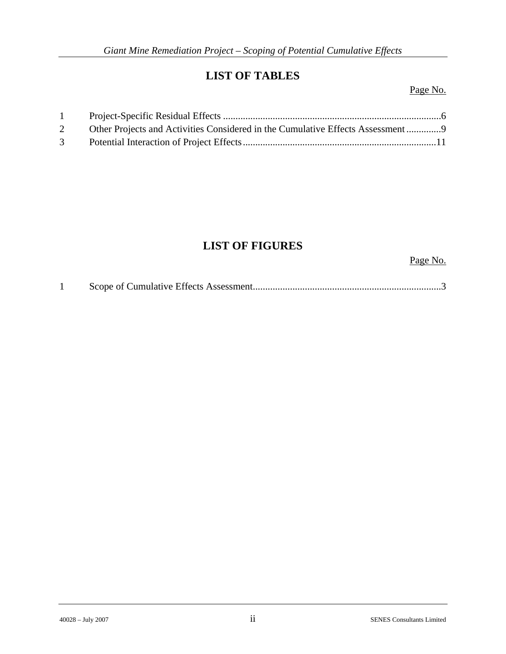## **LIST OF TABLES**

Page No.

| 1              |                                                                                |  |
|----------------|--------------------------------------------------------------------------------|--|
| $\overline{2}$ | Other Projects and Activities Considered in the Cumulative Effects Assessment9 |  |
| $3^{\circ}$    |                                                                                |  |

# **LIST OF FIGURES**

Page No.

|--|--|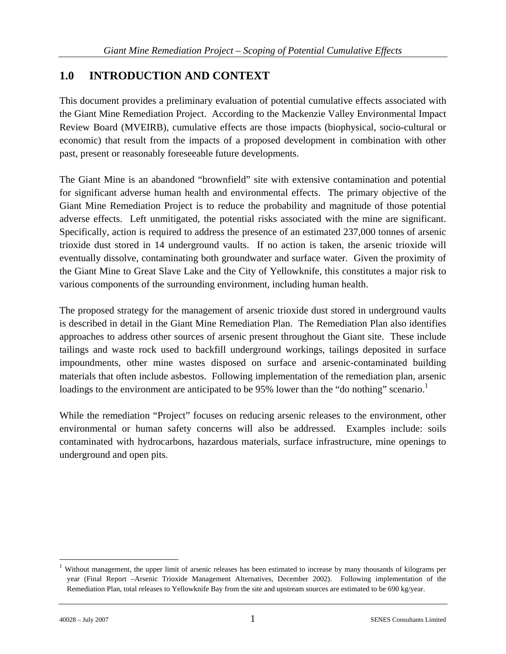### **1.0 INTRODUCTION AND CONTEXT**

This document provides a preliminary evaluation of potential cumulative effects associated with the Giant Mine Remediation Project. According to the Mackenzie Valley Environmental Impact Review Board (MVEIRB), cumulative effects are those impacts (biophysical, socio-cultural or economic) that result from the impacts of a proposed development in combination with other past, present or reasonably foreseeable future developments.

The Giant Mine is an abandoned "brownfield" site with extensive contamination and potential for significant adverse human health and environmental effects. The primary objective of the Giant Mine Remediation Project is to reduce the probability and magnitude of those potential adverse effects. Left unmitigated, the potential risks associated with the mine are significant. Specifically, action is required to address the presence of an estimated 237,000 tonnes of arsenic trioxide dust stored in 14 underground vaults. If no action is taken, the arsenic trioxide will eventually dissolve, contaminating both groundwater and surface water. Given the proximity of the Giant Mine to Great Slave Lake and the City of Yellowknife, this constitutes a major risk to various components of the surrounding environment, including human health.

The proposed strategy for the management of arsenic trioxide dust stored in underground vaults is described in detail in the Giant Mine Remediation Plan. The Remediation Plan also identifies approaches to address other sources of arsenic present throughout the Giant site. These include tailings and waste rock used to backfill underground workings, tailings deposited in surface impoundments, other mine wastes disposed on surface and arsenic-contaminated building materials that often include asbestos. Following implementation of the remediation plan, arsenic loadings to the environment are anticipated to be 95% lower than the "do nothing" scenario.<sup>1</sup>

While the remediation "Project" focuses on reducing arsenic releases to the environment, other environmental or human safety concerns will also be addressed. Examples include: soils contaminated with hydrocarbons, hazardous materials, surface infrastructure, mine openings to underground and open pits.

 $\overline{a}$ 

<sup>&</sup>lt;sup>1</sup> Without management, the upper limit of arsenic releases has been estimated to increase by many thousands of kilograms per year (Final Report –Arsenic Trioxide Management Alternatives, December 2002). Following implementation of the Remediation Plan, total releases to Yellowknife Bay from the site and upstream sources are estimated to be 690 kg/year.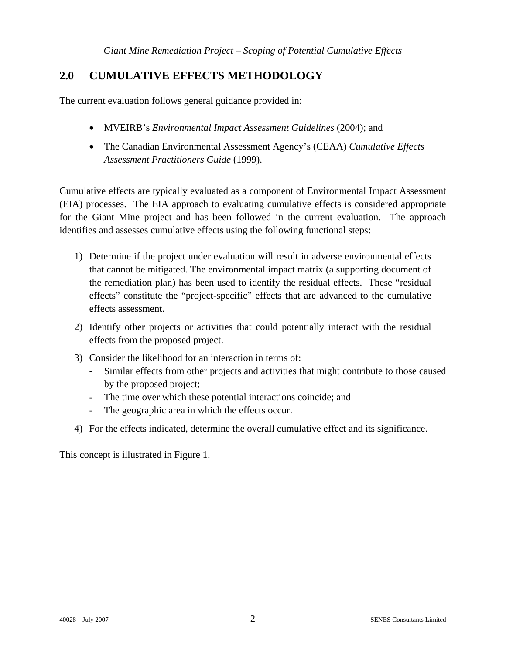### **2.0 CUMULATIVE EFFECTS METHODOLOGY**

The current evaluation follows general guidance provided in:

- MVEIRB's *Environmental Impact Assessment Guidelines* (2004); and
- The Canadian Environmental Assessment Agency's (CEAA) *Cumulative Effects Assessment Practitioners Guide* (1999).

Cumulative effects are typically evaluated as a component of Environmental Impact Assessment (EIA) processes. The EIA approach to evaluating cumulative effects is considered appropriate for the Giant Mine project and has been followed in the current evaluation. The approach identifies and assesses cumulative effects using the following functional steps:

- 1) Determine if the project under evaluation will result in adverse environmental effects that cannot be mitigated. The environmental impact matrix (a supporting document of the remediation plan) has been used to identify the residual effects. These "residual effects" constitute the "project-specific" effects that are advanced to the cumulative effects assessment.
- 2) Identify other projects or activities that could potentially interact with the residual effects from the proposed project.
- 3) Consider the likelihood for an interaction in terms of:
	- Similar effects from other projects and activities that might contribute to those caused by the proposed project;
	- The time over which these potential interactions coincide; and
	- The geographic area in which the effects occur.
- 4) For the effects indicated, determine the overall cumulative effect and its significance.

This concept is illustrated in Figure 1.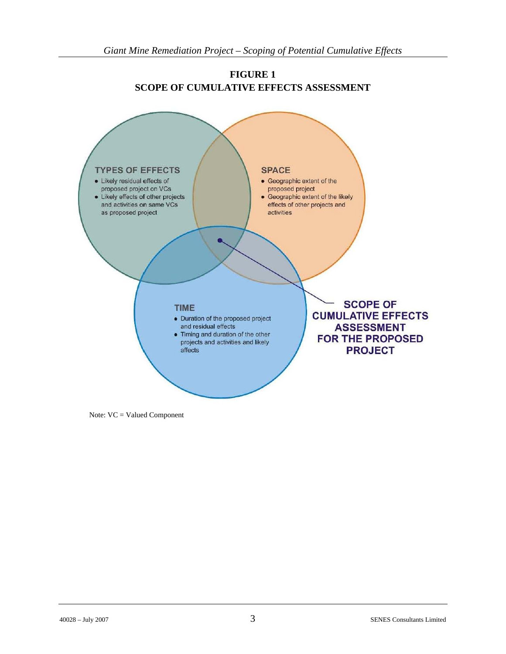

**FIGURE 1 SCOPE OF CUMULATIVE EFFECTS ASSESSMENT** 

Note: VC = Valued Component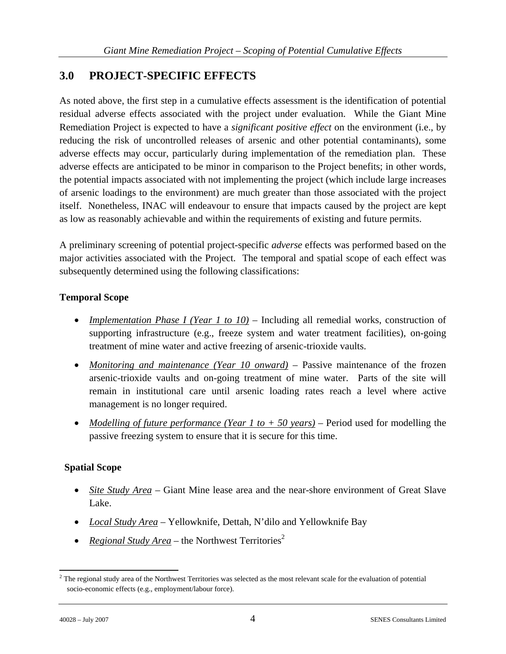### **3.0 PROJECT-SPECIFIC EFFECTS**

As noted above, the first step in a cumulative effects assessment is the identification of potential residual adverse effects associated with the project under evaluation. While the Giant Mine Remediation Project is expected to have a *significant positive effect* on the environment (i.e., by reducing the risk of uncontrolled releases of arsenic and other potential contaminants), some adverse effects may occur, particularly during implementation of the remediation plan. These adverse effects are anticipated to be minor in comparison to the Project benefits; in other words, the potential impacts associated with not implementing the project (which include large increases of arsenic loadings to the environment) are much greater than those associated with the project itself. Nonetheless, INAC will endeavour to ensure that impacts caused by the project are kept as low as reasonably achievable and within the requirements of existing and future permits.

A preliminary screening of potential project-specific *adverse* effects was performed based on the major activities associated with the Project. The temporal and spatial scope of each effect was subsequently determined using the following classifications:

### **Temporal Scope**

- *Implementation Phase I (Year 1 to 10)* Including all remedial works, construction of supporting infrastructure (e.g., freeze system and water treatment facilities), on-going treatment of mine water and active freezing of arsenic-trioxide vaults.
- *Monitoring and maintenance (Year 10 onward)* Passive maintenance of the frozen arsenic-trioxide vaults and on-going treatment of mine water. Parts of the site will remain in institutional care until arsenic loading rates reach a level where active management is no longer required.
- *Modelling of future performance (Year 1 to + 50 years)* Period used for modelling the passive freezing system to ensure that it is secure for this time.

### **Spatial Scope**

- *Site Study Area* Giant Mine lease area and the near-shore environment of Great Slave Lake.
- *Local Study Area* Yellowknife, Dettah, N'dilo and Yellowknife Bay
- *Regional Study Area* the Northwest Territories<sup>2</sup>

 $\overline{a}$  $2$ <sup>2</sup> The regional study area of the Northwest Territories was selected as the most relevant scale for the evaluation of potential socio-economic effects (e.g., employment/labour force).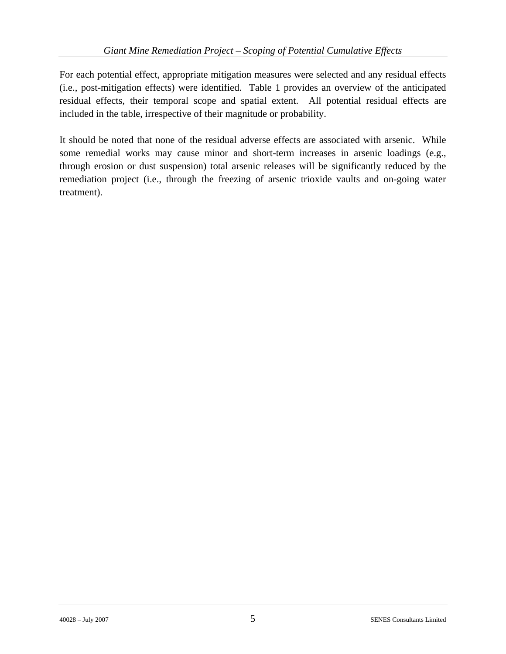For each potential effect, appropriate mitigation measures were selected and any residual effects (i.e., post-mitigation effects) were identified. Table 1 provides an overview of the anticipated residual effects, their temporal scope and spatial extent. All potential residual effects are included in the table, irrespective of their magnitude or probability.

It should be noted that none of the residual adverse effects are associated with arsenic. While some remedial works may cause minor and short-term increases in arsenic loadings (e.g., through erosion or dust suspension) total arsenic releases will be significantly reduced by the remediation project (i.e., through the freezing of arsenic trioxide vaults and on-going water treatment).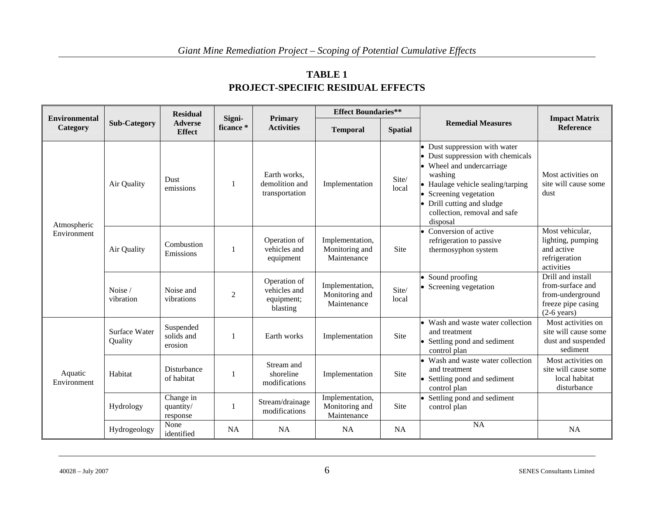| <b>TABLE 1</b>                           |
|------------------------------------------|
| <b>PROJECT-SPECIFIC RESIDUAL EFFECTS</b> |

|                                  |                          | <b>Residual</b>                    |                     |                                                        | <b>Effect Boundaries**</b>                       |                                                                                   |                                                                                                                                                                                                                                                     |                                                                                                  |
|----------------------------------|--------------------------|------------------------------------|---------------------|--------------------------------------------------------|--------------------------------------------------|-----------------------------------------------------------------------------------|-----------------------------------------------------------------------------------------------------------------------------------------------------------------------------------------------------------------------------------------------------|--------------------------------------------------------------------------------------------------|
| <b>Environmental</b><br>Category | <b>Sub-Category</b>      | <b>Adverse</b><br><b>Effect</b>    | Signi-<br>ficance * | <b>Primary</b><br><b>Activities</b>                    | <b>Temporal</b>                                  | <b>Spatial</b>                                                                    | <b>Remedial Measures</b>                                                                                                                                                                                                                            | <b>Impact Matrix</b><br>Reference                                                                |
| Atmospheric<br>Environment       | Air Quality              | Dust<br>emissions                  |                     | Earth works,<br>demolition and<br>transportation       | Implementation                                   | Site/<br>local                                                                    | • Dust suppression with water<br>• Dust suppression with chemicals<br>• Wheel and undercarriage<br>washing<br>• Haulage vehicle sealing/tarping<br>• Screening vegetation<br>• Drill cutting and sludge<br>collection, removal and safe<br>disposal | Most activities on<br>site will cause some<br>dust                                               |
|                                  | Air Quality              | Combustion<br>Emissions            |                     | Operation of<br>vehicles and<br>equipment              | Implementation,<br>Monitoring and<br>Maintenance | • Conversion of active<br>refrigeration to passive<br>Site<br>thermosyphon system |                                                                                                                                                                                                                                                     | Most vehicular.<br>lighting, pumping<br>and active<br>refrigeration<br>activities                |
|                                  | Noise /<br>vibration     | Noise and<br>vibrations            | $\overline{2}$      | Operation of<br>vehicles and<br>equipment;<br>blasting | Implementation,<br>Monitoring and<br>Maintenance | Site/<br>local                                                                    | • Sound proofing<br>• Screening vegetation                                                                                                                                                                                                          | Drill and install<br>from-surface and<br>from-underground<br>freeze pipe casing<br>$(2-6$ years) |
| Aquatic<br>Environment           | Surface Water<br>Quality | Suspended<br>solids and<br>erosion |                     | Earth works                                            | Implementation                                   | <b>Site</b>                                                                       | • Wash and waste water collection<br>and treatment<br>• Settling pond and sediment<br>control plan                                                                                                                                                  | Most activities on<br>site will cause some<br>dust and suspended<br>sediment                     |
|                                  | Habitat                  | Disturbance<br>of habitat          |                     | Stream and<br>shoreline<br>modifications               | Implementation                                   | Site                                                                              | • Wash and waste water collection<br>and treatment<br>• Settling pond and sediment<br>control plan                                                                                                                                                  | Most activities on<br>site will cause some<br>local habitat<br>disturbance                       |
|                                  | Hydrology                | Change in<br>quantity/<br>response |                     | Stream/drainage<br>modifications                       | Implementation,<br>Monitoring and<br>Maintenance | Site                                                                              | • Settling pond and sediment<br>control plan                                                                                                                                                                                                        |                                                                                                  |
|                                  | Hydrogeology             | None<br>identified                 | <b>NA</b>           | <b>NA</b>                                              | <b>NA</b>                                        | <b>NA</b>                                                                         | <b>NA</b>                                                                                                                                                                                                                                           | <b>NA</b>                                                                                        |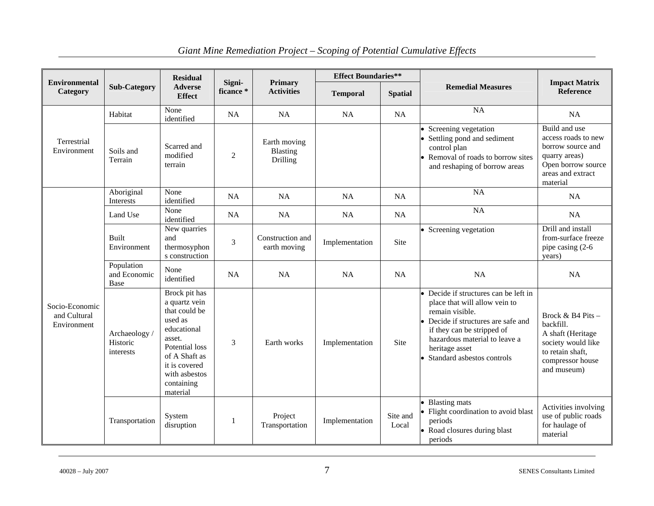| <b>Environmental</b>                          |                                        | <b>Residual</b>                                                                                                                                                                    | Signi-    | <b>Primary</b>                       | <b>Effect Boundaries**</b> |                   |                                                                                                                                                                                                                                               | <b>Impact Matrix</b>                                                                                                               |  |
|-----------------------------------------------|----------------------------------------|------------------------------------------------------------------------------------------------------------------------------------------------------------------------------------|-----------|--------------------------------------|----------------------------|-------------------|-----------------------------------------------------------------------------------------------------------------------------------------------------------------------------------------------------------------------------------------------|------------------------------------------------------------------------------------------------------------------------------------|--|
| <b>Category</b>                               | <b>Sub-Category</b>                    | <b>Adverse</b><br><b>Effect</b>                                                                                                                                                    | ficance*  | <b>Activities</b>                    | <b>Temporal</b>            | <b>Spatial</b>    | <b>Remedial Measures</b>                                                                                                                                                                                                                      | Reference                                                                                                                          |  |
|                                               | Habitat                                | None<br>identified                                                                                                                                                                 | NA        | <b>NA</b>                            | NA                         | NA                | <b>NA</b>                                                                                                                                                                                                                                     | <b>NA</b>                                                                                                                          |  |
| Terrestrial<br>Environment                    | Soils and<br>Terrain                   | Scarred and<br>modified<br>$\overline{2}$<br>terrain                                                                                                                               |           | Earth moving<br>Blasting<br>Drilling |                            |                   | Screening vegetation<br>Settling pond and sediment<br>control plan<br>Removal of roads to borrow sites<br>and reshaping of borrow areas                                                                                                       | Build and use<br>access roads to new<br>borrow source and<br>quarry areas)<br>Open borrow source<br>areas and extract<br>material  |  |
|                                               | Aboriginal<br>Interests                | None<br>identified                                                                                                                                                                 | NA        | <b>NA</b>                            | <b>NA</b>                  | <b>NA</b>         | $N_A$                                                                                                                                                                                                                                         | <b>NA</b>                                                                                                                          |  |
|                                               | Land Use                               | None<br>identified                                                                                                                                                                 | <b>NA</b> | <b>NA</b>                            | <b>NA</b>                  | NA                | <b>NA</b>                                                                                                                                                                                                                                     | <b>NA</b>                                                                                                                          |  |
|                                               | <b>Built</b><br>Environment            | New quarries<br>and<br>3<br>thermosyphon<br>s construction                                                                                                                         |           | Construction and<br>earth moving     | Implementation             | Site              | • Screening vegetation                                                                                                                                                                                                                        | Drill and install<br>from-surface freeze<br>pipe casing (2-6)<br>years)                                                            |  |
|                                               | Population<br>and Economic<br>Base     | None<br>identified                                                                                                                                                                 | <b>NA</b> | <b>NA</b>                            | <b>NA</b>                  | NA                | <b>NA</b>                                                                                                                                                                                                                                     | NA                                                                                                                                 |  |
| Socio-Economic<br>and Cultural<br>Environment | Archaeology /<br>Historic<br>interests | Brock pit has<br>a quartz vein<br>that could be<br>used as<br>educational<br>asset.<br>Potential loss<br>of A Shaft as<br>it is covered<br>with asbestos<br>containing<br>material | 3         | Earth works                          | Implementation             | Site              | • Decide if structures can be left in<br>place that will allow vein to<br>remain visible.<br>Decide if structures are safe and<br>if they can be stripped of<br>hazardous material to leave a<br>heritage asset<br>Standard asbestos controls | Brock & B4 Pits $-$<br>backfill.<br>A shaft (Heritage<br>society would like<br>to retain shaft,<br>compressor house<br>and museum) |  |
|                                               | Transportation                         | System<br>disruption                                                                                                                                                               |           | Project<br>Transportation            | Implementation             | Site and<br>Local | <b>Blasting mats</b><br>Flight coordination to avoid blast<br>periods<br>Road closures during blast<br>periods                                                                                                                                | Activities involving<br>use of public roads<br>for haulage of<br>material                                                          |  |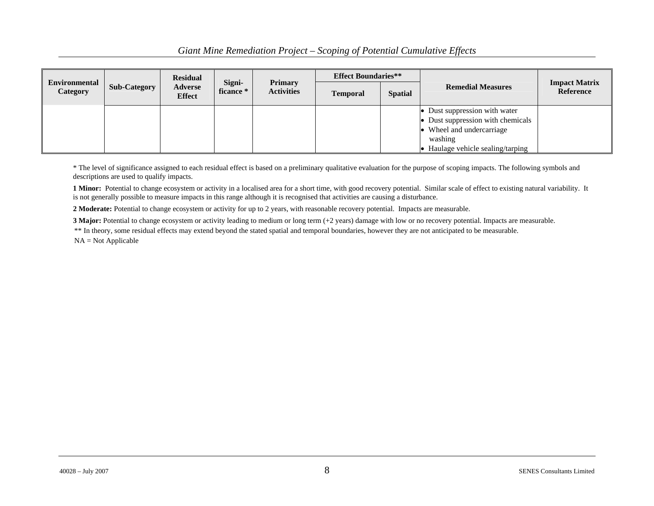|                           |              | <b>Residual</b>          |                     |                                     | <b>Effect Boundaries**</b> |                |                                   |                                   |
|---------------------------|--------------|--------------------------|---------------------|-------------------------------------|----------------------------|----------------|-----------------------------------|-----------------------------------|
| Environmental<br>Category | Sub-Category | Adverse<br><b>Effect</b> | Signi-<br>ficance * | <b>Primary</b><br><b>Activities</b> | <b>Temporal</b>            | <b>Spatial</b> | <b>Remedial Measures</b>          | <b>Impact Matrix</b><br>Reference |
|                           |              |                          |                     |                                     |                            |                | • Dust suppression with water     |                                   |
|                           |              |                          |                     |                                     |                            |                | • Dust suppression with chemicals |                                   |
|                           |              |                          |                     |                                     |                            |                | • Wheel and undercarriage         |                                   |
|                           |              |                          |                     |                                     |                            |                | washing                           |                                   |
|                           |              |                          |                     |                                     |                            |                | Haulage vehicle sealing/tarping   |                                   |

\* The level of significance assigned to each residual effect is based on a preliminary qualitative evaluation for the purpose of scoping impacts. The following symbols and descriptions are used to qualify impacts.

**1 Minor:** Potential to change ecosystem or activity in a localised area for a short time, with good recovery potential. Similar scale of effect to existing natural variability. It is not generally possible to measure impacts in this range although it is recognised that activities are causing a disturbance.

**2 Moderate:** Potential to change ecosystem or activity for up to 2 years, with reasonable recovery potential. Impacts are measurable.

**3 Major:** Potential to change ecosystem or activity leading to medium or long term (+2 years) damage with low or no recovery potential. Impacts are measurable.

\*\* In theory, some residual effects may extend beyond the stated spatial and temporal boundaries, however they are not anticipated to be measurable. NA = Not Applicable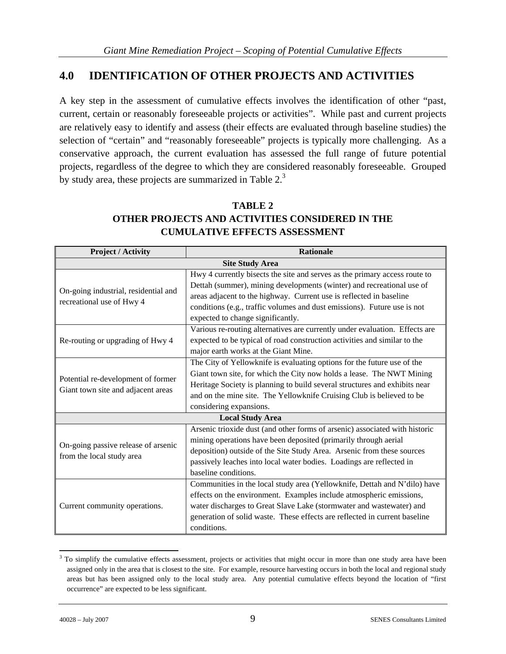### **4.0 IDENTIFICATION OF OTHER PROJECTS AND ACTIVITIES**

A key step in the assessment of cumulative effects involves the identification of other "past, current, certain or reasonably foreseeable projects or activities". While past and current projects are relatively easy to identify and assess (their effects are evaluated through baseline studies) the selection of "certain" and "reasonably foreseeable" projects is typically more challenging. As a conservative approach, the current evaluation has assessed the full range of future potential projects, regardless of the degree to which they are considered reasonably foreseeable. Grouped by study area, these projects are summarized in Table 2.3

### **TABLE 2 OTHER PROJECTS AND ACTIVITIES CONSIDERED IN THE CUMULATIVE EFFECTS ASSESSMENT**

| <b>Project / Activity</b>                                                | <b>Rationale</b>                                                                                                                                                                                                                                                                                                                            |  |  |  |  |  |  |
|--------------------------------------------------------------------------|---------------------------------------------------------------------------------------------------------------------------------------------------------------------------------------------------------------------------------------------------------------------------------------------------------------------------------------------|--|--|--|--|--|--|
|                                                                          | <b>Site Study Area</b>                                                                                                                                                                                                                                                                                                                      |  |  |  |  |  |  |
| On-going industrial, residential and<br>recreational use of Hwy 4        | Hwy 4 currently bisects the site and serves as the primary access route to<br>Dettah (summer), mining developments (winter) and recreational use of<br>areas adjacent to the highway. Current use is reflected in baseline<br>conditions (e.g., traffic volumes and dust emissions). Future use is not<br>expected to change significantly. |  |  |  |  |  |  |
| Re-routing or upgrading of Hwy 4                                         | Various re-routing alternatives are currently under evaluation. Effects are<br>expected to be typical of road construction activities and similar to the<br>major earth works at the Giant Mine.                                                                                                                                            |  |  |  |  |  |  |
| Potential re-development of former<br>Giant town site and adjacent areas | The City of Yellowknife is evaluating options for the future use of the<br>Giant town site, for which the City now holds a lease. The NWT Mining<br>Heritage Society is planning to build several structures and exhibits near<br>and on the mine site. The Yellowknife Cruising Club is believed to be<br>considering expansions.          |  |  |  |  |  |  |
|                                                                          | <b>Local Study Area</b>                                                                                                                                                                                                                                                                                                                     |  |  |  |  |  |  |
| On-going passive release of arsenic<br>from the local study area         | Arsenic trioxide dust (and other forms of arsenic) associated with historic<br>mining operations have been deposited (primarily through aerial<br>deposition) outside of the Site Study Area. Arsenic from these sources<br>passively leaches into local water bodies. Loadings are reflected in<br>baseline conditions.                    |  |  |  |  |  |  |
| Current community operations.                                            | Communities in the local study area (Yellowknife, Dettah and N'dilo) have<br>effects on the environment. Examples include atmospheric emissions,<br>water discharges to Great Slave Lake (stormwater and wastewater) and<br>generation of solid waste. These effects are reflected in current baseline<br>conditions.                       |  |  |  |  |  |  |

 $\overline{a}$  $3$  To simplify the cumulative effects assessment, projects or activities that might occur in more than one study area have been assigned only in the area that is closest to the site. For example, resource harvesting occurs in both the local and regional study areas but has been assigned only to the local study area. Any potential cumulative effects beyond the location of "first occurrence" are expected to be less significant.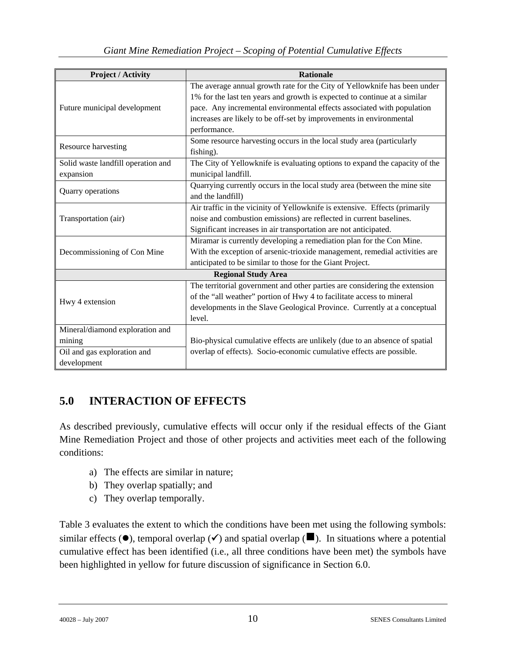| <b>Project / Activity</b>          | <b>Rationale</b>                                                            |
|------------------------------------|-----------------------------------------------------------------------------|
|                                    | The average annual growth rate for the City of Yellowknife has been under   |
|                                    | 1% for the last ten years and growth is expected to continue at a similar   |
| Future municipal development       | pace. Any incremental environmental effects associated with population      |
|                                    | increases are likely to be off-set by improvements in environmental         |
|                                    | performance.                                                                |
|                                    | Some resource harvesting occurs in the local study area (particularly       |
| Resource harvesting                | fishing).                                                                   |
| Solid waste landfill operation and | The City of Yellowknife is evaluating options to expand the capacity of the |
| expansion                          | municipal landfill.                                                         |
|                                    | Quarrying currently occurs in the local study area (between the mine site   |
| Quarry operations                  | and the landfill)                                                           |
|                                    | Air traffic in the vicinity of Yellowknife is extensive. Effects (primarily |
| Transportation (air)               | noise and combustion emissions) are reflected in current baselines.         |
|                                    | Significant increases in air transportation are not anticipated.            |
|                                    | Miramar is currently developing a remediation plan for the Con Mine.        |
| Decommissioning of Con Mine        | With the exception of arsenic-trioxide management, remedial activities are  |
|                                    | anticipated to be similar to those for the Giant Project.                   |
|                                    | <b>Regional Study Area</b>                                                  |
|                                    | The territorial government and other parties are considering the extension  |
|                                    | of the "all weather" portion of Hwy 4 to facilitate access to mineral       |
| Hwy 4 extension                    | developments in the Slave Geological Province. Currently at a conceptual    |
|                                    | level.                                                                      |
| Mineral/diamond exploration and    |                                                                             |
| mining                             | Bio-physical cumulative effects are unlikely (due to an absence of spatial  |
| Oil and gas exploration and        | overlap of effects). Socio-economic cumulative effects are possible.        |
| development                        |                                                                             |

# **5.0 INTERACTION OF EFFECTS**

As described previously, cumulative effects will occur only if the residual effects of the Giant Mine Remediation Project and those of other projects and activities meet each of the following conditions:

- a) The effects are similar in nature;
- b) They overlap spatially; and
- c) They overlap temporally.

Table 3 evaluates the extent to which the conditions have been met using the following symbols: similar effects  $(\bullet)$ , temporal overlap  $(\checkmark)$  and spatial overlap ( $\blacksquare$ ). In situations where a potential cumulative effect has been identified (i.e., all three conditions have been met) the symbols have been highlighted in yellow for future discussion of significance in Section 6.0.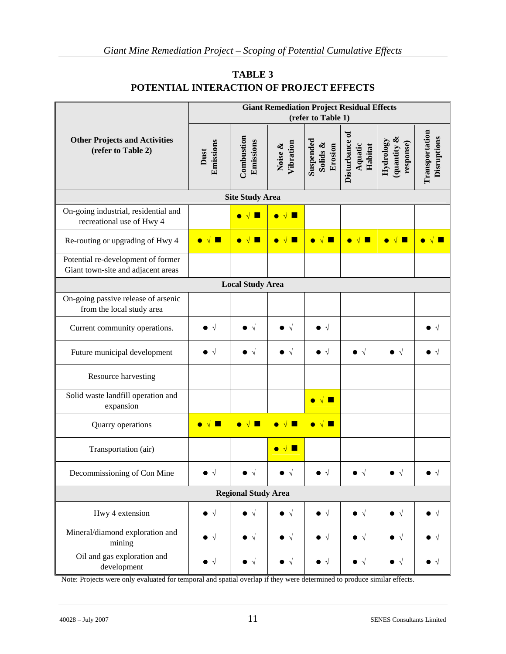|                                                                          | <b>Giant Remediation Project Residual Effects</b><br>(refer to Table 1) |                            |                      |                                  |                                      |                                      |                               |  |  |
|--------------------------------------------------------------------------|-------------------------------------------------------------------------|----------------------------|----------------------|----------------------------------|--------------------------------------|--------------------------------------|-------------------------------|--|--|
| <b>Other Projects and Activities</b><br>(refer to Table 2)               | Emissions<br>Dust                                                       | Combustion<br>Emissions    | Vibration<br>Noise & | Suspended<br>Solids &<br>Erosion | Disturbance of<br>Aquatic<br>Habitat | quantity &<br>Hydrology<br>response) | Transportation<br>Disruptions |  |  |
|                                                                          |                                                                         | <b>Site Study Area</b>     |                      |                                  |                                      |                                      |                               |  |  |
| On-going industrial, residential and<br>recreational use of Hwy 4        |                                                                         | $\bullet\sqrt{}$<br>٠      | ٠                    |                                  |                                      |                                      |                               |  |  |
| Re-routing or upgrading of Hwy 4                                         |                                                                         | L.                         |                      | $\sqrt{ }$<br>$\bullet$          | ш                                    | П<br>$\bullet$                       |                               |  |  |
| Potential re-development of former<br>Giant town-site and adjacent areas |                                                                         |                            |                      |                                  |                                      |                                      |                               |  |  |
|                                                                          |                                                                         | <b>Local Study Area</b>    |                      |                                  |                                      |                                      |                               |  |  |
| On-going passive release of arsenic<br>from the local study area         |                                                                         |                            |                      |                                  |                                      |                                      |                               |  |  |
| Current community operations.                                            |                                                                         |                            |                      |                                  |                                      |                                      | $\sqrt{}$                     |  |  |
| Future municipal development                                             | $\bullet$ $\lor$                                                        | $\sqrt{ }$                 | $\sqrt{ }$           |                                  | $\sqrt{ }$                           | $\sqrt{ }$                           | $\sqrt{ }$                    |  |  |
| Resource harvesting                                                      |                                                                         |                            |                      |                                  |                                      |                                      |                               |  |  |
| Solid waste landfill operation and<br>expansion                          |                                                                         |                            |                      | п<br>$\bullet$<br>$\sqrt{ }$     |                                      |                                      |                               |  |  |
| Quarry operations                                                        |                                                                         |                            |                      | Ц<br>$\sqrt{ }$<br>$\bullet$     |                                      |                                      |                               |  |  |
| Transportation (air)                                                     |                                                                         |                            |                      |                                  |                                      |                                      |                               |  |  |
| Decommissioning of Con Mine                                              | $\bullet\ \lor$                                                         | $\sqrt{ }$                 | $\bullet$ $\sqrt{ }$ | $\bullet\ \sqrt$                 | $\sqrt{ }$                           | $\bullet\ \lor$                      | $\bullet$ $\vee$              |  |  |
|                                                                          |                                                                         | <b>Regional Study Area</b> |                      |                                  |                                      |                                      |                               |  |  |
| Hwy 4 extension                                                          | $\bullet\ \mathrel{\scriptstyle\vee}$                                   | $\sqrt{ }$                 | $\bullet\ \sqrt$     | $\bullet\ \sqrt$                 | • √                                  | । √                                  | $\bullet\ \sqrt$              |  |  |
| Mineral/diamond exploration and<br>mining                                | $\bullet \ \sqrt$                                                       | $\sqrt{ }$                 | । √                  | $\sqrt{ }$                       | । √                                  | $\sqrt{ }$                           | । √                           |  |  |
| Oil and gas exploration and<br>development                               | • √                                                                     | $\sqrt{ }$                 | $\sqrt{ }$           | $\sqrt{ }$                       | $\sqrt{ }$                           | $\sqrt{ }$                           | $\sqrt{ }$                    |  |  |

### **TABLE 3 POTENTIAL INTERACTION OF PROJECT EFFECTS**

Note: Projects were only evaluated for temporal and spatial overlap if they were determined to produce similar effects.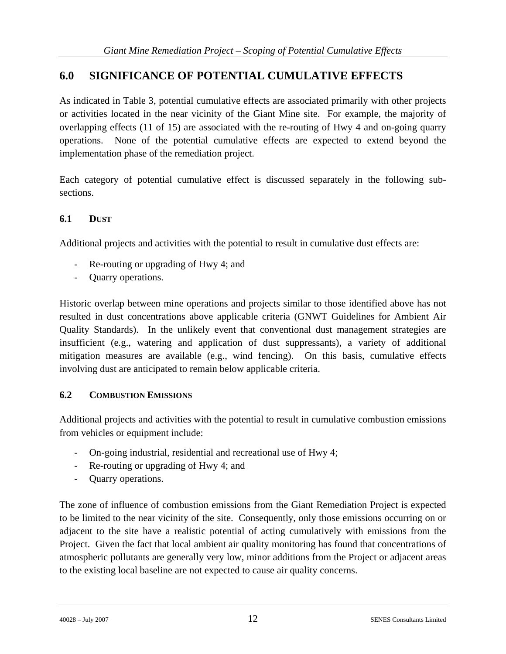### **6.0 SIGNIFICANCE OF POTENTIAL CUMULATIVE EFFECTS**

As indicated in Table 3, potential cumulative effects are associated primarily with other projects or activities located in the near vicinity of the Giant Mine site. For example, the majority of overlapping effects (11 of 15) are associated with the re-routing of Hwy 4 and on-going quarry operations. None of the potential cumulative effects are expected to extend beyond the implementation phase of the remediation project.

Each category of potential cumulative effect is discussed separately in the following subsections.

### **6.1 DUST**

Additional projects and activities with the potential to result in cumulative dust effects are:

- Re-routing or upgrading of Hwy 4; and
- Quarry operations.

Historic overlap between mine operations and projects similar to those identified above has not resulted in dust concentrations above applicable criteria (GNWT Guidelines for Ambient Air Quality Standards). In the unlikely event that conventional dust management strategies are insufficient (e.g., watering and application of dust suppressants), a variety of additional mitigation measures are available (e.g., wind fencing). On this basis, cumulative effects involving dust are anticipated to remain below applicable criteria.

### **6.2 COMBUSTION EMISSIONS**

Additional projects and activities with the potential to result in cumulative combustion emissions from vehicles or equipment include:

- On-going industrial, residential and recreational use of Hwy 4;
- Re-routing or upgrading of Hwy 4; and
- Quarry operations.

The zone of influence of combustion emissions from the Giant Remediation Project is expected to be limited to the near vicinity of the site. Consequently, only those emissions occurring on or adjacent to the site have a realistic potential of acting cumulatively with emissions from the Project. Given the fact that local ambient air quality monitoring has found that concentrations of atmospheric pollutants are generally very low, minor additions from the Project or adjacent areas to the existing local baseline are not expected to cause air quality concerns.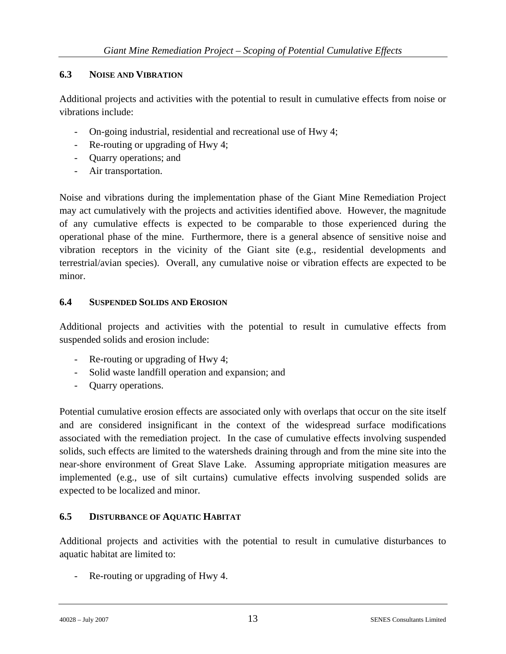### **6.3 NOISE AND VIBRATION**

Additional projects and activities with the potential to result in cumulative effects from noise or vibrations include:

- On-going industrial, residential and recreational use of Hwy 4;
- Re-routing or upgrading of Hwy 4;
- Quarry operations; and
- Air transportation.

Noise and vibrations during the implementation phase of the Giant Mine Remediation Project may act cumulatively with the projects and activities identified above. However, the magnitude of any cumulative effects is expected to be comparable to those experienced during the operational phase of the mine. Furthermore, there is a general absence of sensitive noise and vibration receptors in the vicinity of the Giant site (e.g., residential developments and terrestrial/avian species). Overall, any cumulative noise or vibration effects are expected to be minor.

#### **6.4 SUSPENDED SOLIDS AND EROSION**

Additional projects and activities with the potential to result in cumulative effects from suspended solids and erosion include:

- Re-routing or upgrading of Hwy 4;
- Solid waste landfill operation and expansion; and
- Quarry operations.

Potential cumulative erosion effects are associated only with overlaps that occur on the site itself and are considered insignificant in the context of the widespread surface modifications associated with the remediation project. In the case of cumulative effects involving suspended solids, such effects are limited to the watersheds draining through and from the mine site into the near-shore environment of Great Slave Lake. Assuming appropriate mitigation measures are implemented (e.g., use of silt curtains) cumulative effects involving suspended solids are expected to be localized and minor.

### **6.5 DISTURBANCE OF AQUATIC HABITAT**

Additional projects and activities with the potential to result in cumulative disturbances to aquatic habitat are limited to:

Re-routing or upgrading of Hwy 4.